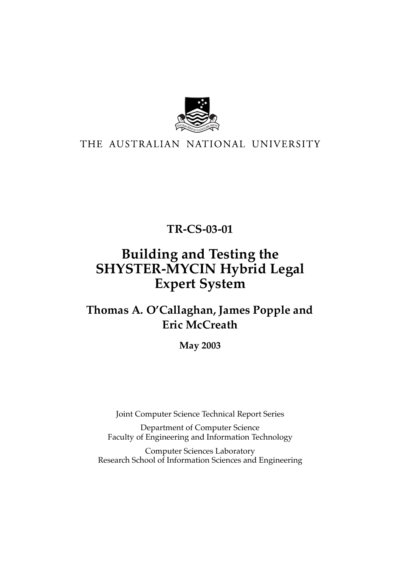

### THE AUSTRALIAN NATIONAL UNIVERSITY

**TR-CS-03-01** 

# **Building and Testing the SHYSTER-MYCIN Hybrid Legal Expert System**

## **Thomas A. O'Callaghan, James Popple and Eric McCreath**

**May 2003** 

Joint Computer Science Technical Report Series

Department of Computer Science Faculty of Engineering and Information Technology

Computer Sciences Laboratory Research School of Information Sciences and Engineering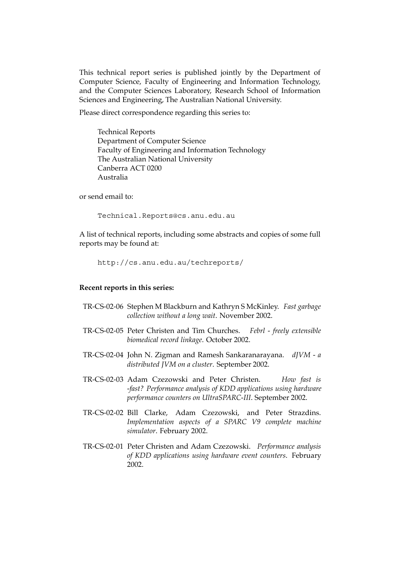This technical report series is published jointly by the Department of Computer Science, Faculty of Engineering and Information Technology, and the Computer Sciences Laboratory, Research School of Information Sciences and Engineering, The Australian National University.

Please direct correspondence regarding this series to:

Technical Reports Department of Computer Science Faculty of Engineering and Information Technology The Australian National University Canberra ACT 0200 Australia

or send email to:

[Technical.Reports@cs.anu.edu.au](mailto:Technical.Reports@cs.anu.edu.au) 

A list of technical reports, including some abstracts and copies of some full reports may be found at:

```
http://cs.anu.edu.au/techreports/
```
#### **Recent reports in this series:**

- TR-CS-02-06 Stephen M Blackburn and Kathryn S McKinley. *Fast garbage collection without a long wait*. November 2002.
- TR-CS-02-05 Peter Christen and Tim Churches. *Febrl freely extensible biomedical record linkage*. October 2002.
- TR-CS-02-04 John N. Zigman and Ramesh Sankaranarayana. *dJVM a distributed JVM on a cluster*. September 2002.
- TR-CS-02-03 Adam Czezowski and Peter Christen. *How fast is -fast? Performance analysis of KDD applications using hardware performance counters on UltraSPARC-III*. September 2002.
- TR-CS-02-02 Bill Clarke, Adam Czezowski, and Peter Strazdins. *Implementation aspects of a SPARC V9 complete machine simulator*. February 2002.
- TR-CS-02-01 Peter Christen and Adam Czezowski. *Performance analysis of KDD applications using hardware event counters*. February 2002.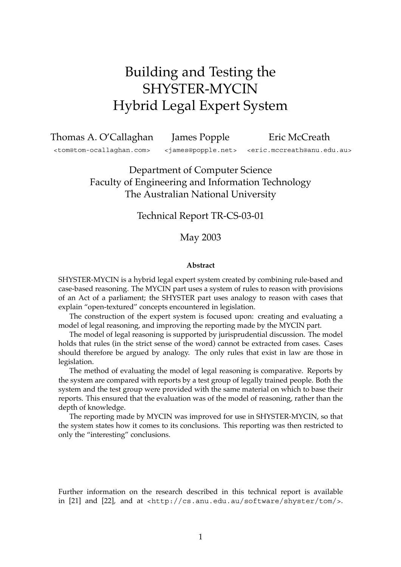# Building and Testing the SHYSTER-MYCIN Hybrid Legal Expert System

Thomas A. O'Callaghan James Popple Eric McCreath

[<tom@tom-ocallaghan.com>](mailto:tom@tom-ocallaghan.com) [<james@popple.net>](mailto:james@popple.net) [<eric.mccreath@anu.edu.au>](mailto:eric.mccreath@anu.edu.au)

Department of Computer Science Faculty of Engineering and Information Technology The Australian National University

### Technical Report TR-CS-03-01

### May 2003

#### **Abstract**

SHYSTER-MYCIN is a hybrid legal expert system created by combining rule-based and case-based reasoning. The MYCIN part uses a system of rules to reason with provisions of an Act of a parliament; the SHYSTER part uses analogy to reason with cases that explain "open-textured" concepts encountered in legislation.

The construction of the expert system is focused upon: creating and evaluating a model of legal reasoning, and improving the reporting made by the MYCIN part.

The model of legal reasoning is supported by jurisprudential discussion. The model holds that rules (in the strict sense of the word) cannot be extracted from cases. Cases should therefore be argued by analogy. The only rules that exist in law are those in legislation.

The method of evaluating the model of legal reasoning is comparative. Reports by the system are compared with reports by a test group of legally trained people. Both the system and the test group were provided with the same material on which to base their reports. This ensured that the evaluation was of the model of reasoning, rather than the depth of knowledge.

The reporting made by MYCIN was improved for use in SHYSTER-MYCIN, so that the system states how it comes to its conclusions. This reporting was then restricted to only the "interesting" conclusions.

Further information on the research described in this technical report is available in [\[21\]](#page-16-0) and [\[22\]](#page-16-1), and at [<http://cs.anu.edu.au/software/shyster/tom/>](http://cs.anu.edu.au/software/shyster/tom/).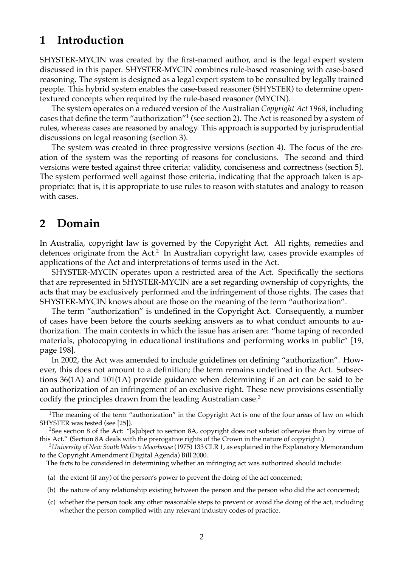### **1 Introduction**

SHYSTER-MYCIN was created by the first-named author, and is the legal expert system discussed in this paper. SHYSTER-MYCIN combines rule-based reasoning with case-based reasoning. The system is designed as a legal expert system to be consulted by legally trained people. This hybrid system enables the case-based reasoner (SHYSTER) to determine opentextured concepts when required by the rule-based reasoner (MYCIN).

The system operates on a reduced version of the Australian *Copyright Act 1968*, including cases that define the term "authorization["1](#page-3-0) (see section [2\)](#page-3-1). The Act is reasoned by a system of rules, whereas cases are reasoned by analogy. This approach is supported by jurisprudential discussions on legal reasoning (section [3\)](#page-4-0).

The system was created in three progressive versions (section [4\)](#page-8-0). The focus of the creation of the system was the reporting of reasons for conclusions. The second and third versions were tested against three criteria: validity, conciseness and correctness (section [5\)](#page-11-0). The system performed well against those criteria, indicating that the approach taken is appropriate: that is, it is appropriate to use rules to reason with statutes and analogy to reason with cases.

### <span id="page-3-1"></span>**2 Domain**

In Australia, copyright law is governed by the Copyright Act. All rights, remedies and defences originate from the Act.<sup>2</sup> In Australian copyright law, cases provide examples of applications of the Act and interpretations of terms used in the Act.

SHYSTER-MYCIN operates upon a restricted area of the Act. Specifically the sections that are represented in SHYSTER-MYCIN are a set regarding ownership of copyrights, the acts that may be exclusively performed and the infringement of those rights. The cases that SHYSTER-MYCIN knows about are those on the meaning of the term "authorization".

The term "authorization" is undefined in the Copyright Act. Consequently, a number of cases have been before the courts seeking answers as to what conduct amounts to authorization. The main contexts in which the issue has arisen are: "home taping of recorded materials, photocopying in educational institutions and performing works in public" [\[19,](#page-16-2) page 198].

In 2002, the Act was amended to include guidelines on defining "authorization". However, this does not amount to a definition; the term remains undefined in the Act. Subsections 36(1A) and 101(1A) provide guidance when determining if an act can be said to be an authorization of an infringement of an exclusive right. These new provisions essentially codify the principles drawn from the leading Australian case.<sup>3</sup>

(c) whether the person took any other reasonable steps to prevent or avoid the doing of the act, including whether the person complied with any relevant industry codes of practice.

<span id="page-3-0"></span><sup>&</sup>lt;sup>1</sup>The meaning of the term "authorization" in the Copyright Act is one of the four areas of law on which SHYSTER was tested (see [\[25\]](#page-16-3)).

<span id="page-3-2"></span><sup>&</sup>lt;sup>2</sup>See section 8 of the Act: "[s]ubject to section 8A, copyright does not subsist otherwise than by virtue of this Act." (Section 8A deals with the prerogative rights of the Crown in the nature of copyright.)

<span id="page-3-3"></span><sup>3</sup>*University of New South Wales v Moorhouse* (1975) 133 CLR 1, as explained in the Explanatory Memorandum to the Copyright Amendment (Digital Agenda) Bill 2000.

The facts to be considered in determining whether an infringing act was authorized should include:

<sup>(</sup>a) the extent (if any) of the person's power to prevent the doing of the act concerned;

<sup>(</sup>b) the nature of any relationship existing between the person and the person who did the act concerned;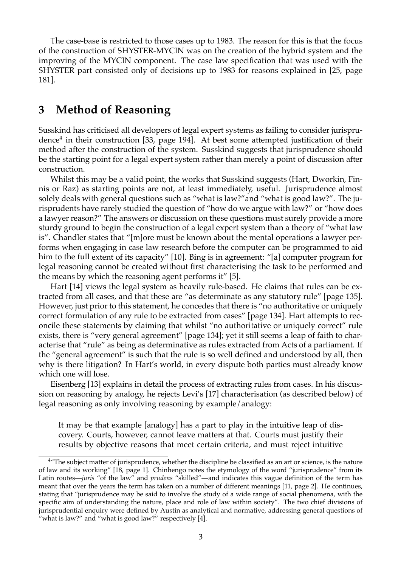The case-base is restricted to those cases up to 1983. The reason for this is that the focus of the construction of SHYSTER-MYCIN was on the creation of the hybrid system and the improving of the MYCIN component. The case law specification that was used with the SHYSTER part consisted only of decisions up to 1983 for reasons explained in [\[25,](#page-16-3) page 181].

### <span id="page-4-0"></span>**3 Method of Reasoning**

Susskind has criticised all developers of legal expert systems as failing to consider jurispru-dence<sup>[4](#page-4-1)</sup> in their construction [\[33,](#page-17-0) page 194]. At best some attempted justification of their method after the construction of the system. Susskind suggests that jurisprudence should be the starting point for a legal expert system rather than merely a point of discussion after construction.

Whilst this may be a valid point, the works that Susskind suggests (Hart, Dworkin, Finnis or Raz) as starting points are not, at least immediately, useful. Jurisprudence almost solely deals with general questions such as "what is law?"and "what is good law?". The jurisprudents have rarely studied the question of "how do we argue with law?" or "how does a lawyer reason?" The answers or discussion on these questions must surely provide a more sturdy ground to begin the construction of a legal expert system than a theory of "what law is". Chandler states that "[m]ore must be known about the mental operations a lawyer performs when engaging in case law research before the computer can be programmed to aid him to the full extent of its capacity" [\[10\]](#page-15-0). Bing is in agreement: "[a] computer program for legal reasoning cannot be created without first characterising the task to be performed and the means by which the reasoning agent performs it" [\[5\]](#page-15-1).

Hart [\[14\]](#page-16-4) views the legal system as heavily rule-based. He claims that rules can be extracted from all cases, and that these are "as determinate as any statutory rule" [page 135]. However, just prior to this statement, he concedes that there is "no authoritative or uniquely correct formulation of any rule to be extracted from cases" [page 134]. Hart attempts to reconcile these statements by claiming that whilst "no authoritative or uniquely correct" rule exists, there is "very general agreement" [page 134]; yet it still seems a leap of faith to characterise that "rule" as being as determinative as rules extracted from Acts of a parliament. If the "general agreement" is such that the rule is so well defined and understood by all, then why is there litigation? In Hart's world, in every dispute both parties must already know which one will lose.

Eisenberg [\[13\]](#page-16-5) explains in detail the process of extracting rules from cases. In his discussion on reasoning by analogy, he rejects Levi's [\[17\]](#page-16-6) characterisation (as described below) of legal reasoning as only involving reasoning by example/analogy:

It may be that example [analogy] has a part to play in the intuitive leap of discovery. Courts, however, cannot leave matters at that. Courts must justify their results by objective reasons that meet certain criteria, and must reject intuitive

<span id="page-4-1"></span><sup>&</sup>lt;sup>4</sup>"The subject matter of jurisprudence, whether the discipline be classified as an art or science, is the nature of law and its working" [\[18,](#page-16-7) page 1]. Chinhengo notes the etymology of the word "jurisprudence" from its Latin routes—*juris* "of the law" and *prudens* "skilled"—and indicates this vague definition of the term has meant that over the years the term has taken on a number of different meanings [\[11,](#page-15-2) page 2]. He continues, stating that "jurisprudence may be said to involve the study of a wide range of social phenomena, with the specific aim of understanding the nature, place and role of law within society". The two chief divisions of jurisprudential enquiry were defined by Austin as analytical and normative, addressing general questions of "what is law?" and "what is good law?" respectively [\[4\]](#page-15-3).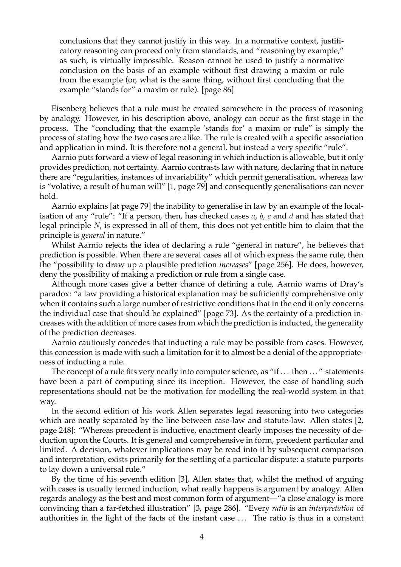conclusions that they cannot justify in this way. In a normative context, justificatory reasoning can proceed only from standards, and "reasoning by example," as such, is virtually impossible. Reason cannot be used to justify a normative conclusion on the basis of an example without first drawing a maxim or rule from the example (or, what is the same thing, without first concluding that the example "stands for" a maxim or rule). [page 86]

Eisenberg believes that a rule must be created somewhere in the process of reasoning by analogy. However, in his description above, analogy can occur as the first stage in the process. The "concluding that the example 'stands for' a maxim or rule" is simply the process of stating how the two cases are alike. The rule is created with a specific association and application in mind. It is therefore not a general, but instead a very specific "rule".

Aarnio puts forward a view of legal reasoning in which induction is allowable, but it only provides prediction, not certainty. Aarnio contrasts law with nature, declaring that in nature there are "regularities, instances of invariability" which permit generalisation, whereas law is "volative, a result of human will" [\[1,](#page-15-4) page 79] and consequently generalisations can never hold.

Aarnio explains [at page 79] the inability to generalise in law by an example of the localisation of any "rule": "If a person, then, has checked cases  $a$ ,  $b$ ,  $c$  and  $d$  and has stated that legal principle  $N_i$  is expressed in all of them, this does not yet entitle him to claim that the principle is *general* in nature."

Whilst Aarnio rejects the idea of declaring a rule "general in nature", he believes that prediction is possible. When there are several cases all of which express the same rule, then the "possibility to draw up a plausible prediction *increases*" [page 256]. He does, however, deny the possibility of making a prediction or rule from a single case.

Although more cases give a better chance of defining a rule, Aarnio warns of Dray's paradox: "a law providing a historical explanation may be sufficiently comprehensive only when it contains such a large number of restrictive conditions that in the end it only concerns the individual case that should be explained" [page 73]. As the certainty of a prediction increases with the addition of more cases from which the prediction is inducted, the generality of the prediction decreases.

Aarnio cautiously concedes that inducting a rule may be possible from cases. However, this concession is made with such a limitation for it to almost be a denial of the appropriateness of inducting a rule.

The concept of a rule fits very neatly into computer science, as "if ... then ..." statements have been a part of computing since its inception. However, the ease of handling such representations should not be the motivation for modelling the real-world system in that way.

In the second edition of his work Allen separates legal reasoning into two categories which are neatly separated by the line between case-law and statute-law. Allen states [\[2,](#page-15-5) page 248]: "Whereas precedent is inductive, enactment clearly imposes the necessity of deduction upon the Courts. It is general and comprehensive in form, precedent particular and limited. A decision, whatever implications may be read into it by subsequent comparison and interpretation, exists primarily for the settling of a particular dispute: a statute purports to lay down a universal rule."

By the time of his seventh edition [\[3\]](#page-15-6), Allen states that, whilst the method of arguing with cases is usually termed induction, what really happens is argument by analogy. Allen regards analogy as the best and most common form of argument—"a close analogy is more convincing than a far-fetched illustration" [\[3,](#page-15-6) page 286]. "Every *ratio* is an *interpretation* of authorities in the light of the facts of the instant case . . . The ratio is thus in a constant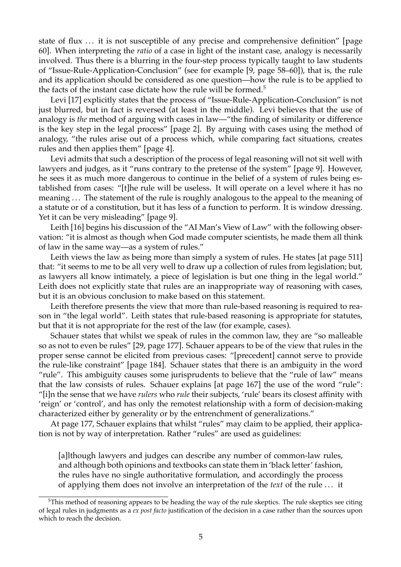state of flux ... it is not susceptible of any precise and comprehensive definition" [page 60]. When interpreting the *ratio* of a case in light of the instant case, analogy is necessarily involved. Thus there is a blurring in the four-step process typically taught to law students of "Issue-Rule-Application-Conclusion" (see for example [\[9,](#page-15-7) page 58–60]), that is, the rule and its application should be considered as one question—how the rule is to be applied to the facts of the instant case dictate how the rule will be formed.<sup>5</sup>

Levi [\[17\]](#page-16-6) explicitly states that the process of "Issue-Rule-Application-Conclusion" is not just blurred, but in fact is reversed (at least in the middle). Levi believes that the use of analogy is *the* method of arguing with cases in law—"the finding of similarity or difference is the key step in the legal process" [page 2]. By arguing with cases using the method of analogy, "the rules arise out of a process which, while comparing fact situations, creates rules and then applies them" [page 4].

Levi admits that such a description of the process of legal reasoning will not sit well with lawyers and judges, as it "runs contrary to the pretense of the system" [page 9]. However, he sees it as much more dangerous to continue in the belief of a system of rules being established from cases: "[t]he rule will be useless. It will operate on a level where it has no meaning . . . The statement of the rule is roughly analogous to the appeal to the meaning of a statute or of a constitution, but it has less of a function to perform. It is window dressing. Yet it can be very misleading" [page 9].

Leith [\[16\]](#page-16-8) begins his discussion of the "AI Man's View of Law" with the following observation: "it is almost as though when God made computer scientists, he made them all think of law in the same way—as a system of rules."

Leith views the law as being more than simply a system of rules. He states [at page 511] that: "it seems to me to be all very well to draw up a collection of rules from legislation; but, as lawyers all know intimately, a piece of legislation is but one thing in the legal world." Leith does not explicitly state that rules are an inappropriate way of reasoning with cases, but it is an obvious conclusion to make based on this statement.

Leith therefore presents the view that more than rule-based reasoning is required to reason in "the legal world". Leith states that rule-based reasoning is appropriate for statutes, but that it is not appropriate for the rest of the law (for example, cases).

Schauer states that whilst we speak of rules in the common law, they are "so malleable so as not to even be rules" [\[29,](#page-17-1) page 177]. Schauer appears to be of the view that rules in the proper sense cannot be elicited from previous cases: "[precedent] cannot serve to provide the rule-like constraint" [page 184]. Schauer states that there is an ambiguity in the word "rule". This ambiguity causes some jurisprudents to believe that the "rule of law" means that the law consists of rules. Schauer explains [at page 167] the use of the word "rule": "[i]n the sense that we have *rulers* who *rule* their subjects, 'rule' bears its closest affinity with 'reign' or 'control', and has only the remotest relationship with a form of decision-making characterized either by generality or by the entrenchment of generalizations."

At page 177, Schauer explains that whilst "rules" may claim to be applied, their application is not by way of interpretation. Rather "rules" are used as guidelines:

[a]lthough lawyers and judges can describe any number of common-law rules, and although both opinions and textbooks can state them in 'black letter' fashion, the rules have no single authoritative formulation, and accordingly the process of applying them does not involve an interpretation of the *text* of the rule . . . it

<span id="page-6-0"></span><sup>&</sup>lt;sup>5</sup>This method of reasoning appears to be heading the way of the rule skeptics. The rule skeptics see citing of legal rules in judgments as a *ex post facto* justification of the decision in a case rather than the sources upon which to reach the decision.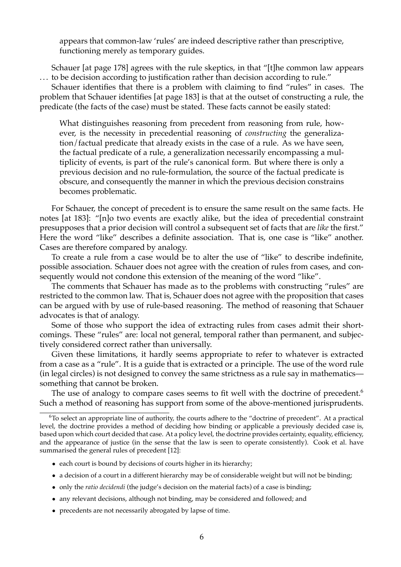appears that common-law 'rules' are indeed descriptive rather than prescriptive, functioning merely as temporary guides.

Schauer [at page 178] agrees with the rule skeptics, in that "[t]he common law appears . . . to be decision according to justification rather than decision according to rule."

Schauer identifies that there is a problem with claiming to find "rules" in cases. The problem that Schauer identifies [at page 183] is that at the outset of constructing a rule, the predicate (the facts of the case) must be stated. These facts cannot be easily stated:

What distinguishes reasoning from precedent from reasoning from rule, however, is the necessity in precedential reasoning of *constructing* the generalization/factual predicate that already exists in the case of a rule. As we have seen, the factual predicate of a rule, a generalization necessarily encompassing a multiplicity of events, is part of the rule's canonical form. But where there is only a previous decision and no rule-formulation, the source of the factual predicate is obscure, and consequently the manner in which the previous decision constrains becomes problematic.

For Schauer, the concept of precedent is to ensure the same result on the same facts. He notes [at 183]: "[n]o two events are exactly alike, but the idea of precedential constraint presupposes that a prior decision will control a subsequent set of facts that are *like* the first." Here the word "like" describes a definite association. That is, one case is "like" another. Cases are therefore compared by analogy.

To create a rule from a case would be to alter the use of "like" to describe indefinite, possible association. Schauer does not agree with the creation of rules from cases, and consequently would not condone this extension of the meaning of the word "like".

The comments that Schauer has made as to the problems with constructing "rules" are restricted to the common law. That is, Schauer does not agree with the proposition that cases can be argued with by use of rule-based reasoning. The method of reasoning that Schauer advocates is that of analogy.

Some of those who support the idea of extracting rules from cases admit their shortcomings. These "rules" are: local not general, temporal rather than permanent, and subjectively considered correct rather than universally.

Given these limitations, it hardly seems appropriate to refer to whatever is extracted from a case as a "rule". It is a guide that is extracted or a principle. The use of the word rule (in legal circles) is not designed to convey the same strictness as a rule say in mathematics something that cannot be broken.

The use of analogy to compare cases seems to fit well with the doctrine of precedent.<sup>6</sup> Such a method of reasoning has support from some of the above-mentioned jurisprudents.

- each court is bound by decisions of courts higher in its hierarchy;
- a decision of a court in a different hierarchy may be of considerable weight but will not be binding;
- only the *ratio decidendi* (the judge's decision on the material facts) of a case is binding;
- any relevant decisions, although not binding, may be considered and followed; and
- precedents are not necessarily abrogated by lapse of time.

<span id="page-7-0"></span><sup>6</sup>To select an appropriate line of authority, the courts adhere to the "doctrine of precedent". At a practical level, the doctrine provides a method of deciding how binding or applicable a previously decided case is, based upon which court decided that case. At a policy level, the doctrine provides certainty, equality, efficiency, and the appearance of justice (in the sense that the law is seen to operate consistently). Cook et al. have summarised the general rules of precedent [\[12\]](#page-15-8):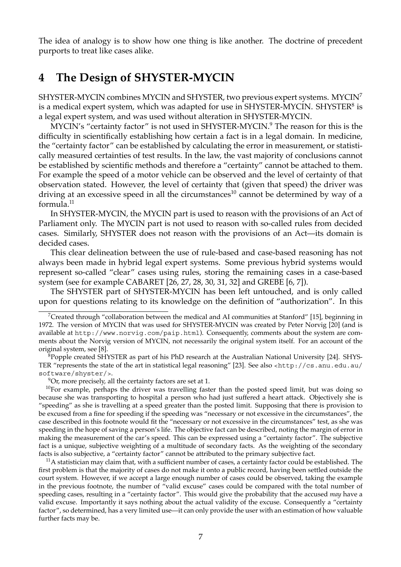The idea of analogy is to show how one thing is like another. The doctrine of precedent purports to treat like cases alike.

### <span id="page-8-0"></span>**4 The Design of SHYSTER-MYCIN**

SHYSTER-MYCIN combines MYCIN and SHYSTER, two previous expert systems. MYCI[N7](#page-8-1)  is a medical expert system, which was adapted for use in SHYSTER-MYCIN. SHYSTER $^{8}$  is a legal expert system, and was used without alteration in SHYSTER-MYCIN.

MYCIN's "certainty factor" is not used in SHYSTER-MYCIN.<sup>9</sup> The reason for this is the difficulty in scientifically establishing how certain a fact is in a legal domain. In medicine, the "certainty factor" can be established by calculating the error in measurement, or statistically measured certainties of test results. In the law, the vast majority of conclusions cannot be established by scientific methods and therefore a "certainty" cannot be attached to them. For example the speed of a motor vehicle can be observed and the level of certainty of that observation stated. However, the level of certainty that (given that speed) the driver was driving at an excessive speed in all the circumstances<sup>10</sup> cannot be determined by way of a formula[.11](#page-8-5) 

In SHYSTER-MYCIN, the MYCIN part is used to reason with the provisions of an Act of Parliament only. The MYCIN part is not used to reason with so-called rules from decided cases. Similarly, SHYSTER does not reason with the provisions of an Act—its domain is decided cases.

This clear delineation between the use of rule-based and case-based reasoning has not always been made in hybrid legal expert systems. Some previous hybrid systems would represent so-called "clear" cases using rules, storing the remaining cases in a case-based system (see for example CABARET [\[26,](#page-16-9) [27,](#page-16-10) [28,](#page-17-2) [30,](#page-17-3) [31,](#page-17-4) [32\]](#page-17-5) and GREBE [\[6,](#page-15-9) [7\]](#page-15-10)).

The SHYSTER part of SHYSTER-MYCIN has been left untouched, and is only called upon for questions relating to its knowledge on the definition of "authorization". In this

<span id="page-8-4"></span><span id="page-8-3"></span>

 $10$ For example, perhaps the driver was travelling faster than the posted speed limit, but was doing so because she was transporting to hospital a person who had just suffered a heart attack. Objectively she is "speeding" as she is travelling at a speed greater than the posted limit. Supposing that there is provision to be excused from a fine for speeding if the speeding was "necessary or not excessive in the circumstances", the case described in this footnote would fit the "necessary or not excessive in the circumstances" test, as she was speeding in the hope of saving a person's life. The objective fact can be described, noting the margin of error in making the measurement of the car's speed. This can be expressed using a "certainty factor". The subjective fact is a unique, subjective weighting of a multitude of secondary facts. As the weighting of the secondary facts is also subjective, a "certainty factor" cannot be attributed to the primary subjective fact.

<span id="page-8-5"></span> $11A$  statistician may claim that, with a sufficient number of cases, a certainty factor could be established. The first problem is that the majority of cases do not make it onto a public record, having been settled outside the court system. However, if we accept a large enough number of cases could be observed, taking the example in the previous footnote, the number of "valid excuse" cases could be compared with the total number of speeding cases, resulting in a "certainty factor". This would give the probability that the accused *may* have a valid excuse. Importantly it says nothing about the actual validity of the excuse. Consequently a "certainty factor", so determined, has a very limited use—it can only provide the user with an estimation of how valuable further facts may be.

<span id="page-8-1"></span><sup>&</sup>lt;sup>7</sup>Created through "collaboration between the medical and AI communities at Stanford" [\[15\]](#page-16-11), beginning in 1972. The version of MYCIN that was used for SHYSTER-MYCIN was created by Peter Norvig [\[20\]](#page-16-12) (and is available at <http://www.norvig.com/paip.html>). Consequently, comments about the system are comments about the Norvig version of MYCIN, not necessarily the original system itself. For an account of the original system, see [\[8\]](#page-15-11).

<span id="page-8-2"></span> $8$ Popple created SHYSTER as part of his PhD research at the Australian National University [\[24\]](#page-16-13). SHYS-TER "represents the state of the art in statistical legal reasoning" [\[23\]](#page-16-14). See also [<http://cs.anu.edu.au/](http://cs.anu.edu.au/software/shyster/)  [software/shyster/>](http://cs.anu.edu.au/software/shyster/).<br><sup>9</sup>Or, more precisely, all the certainty factors are set at 1.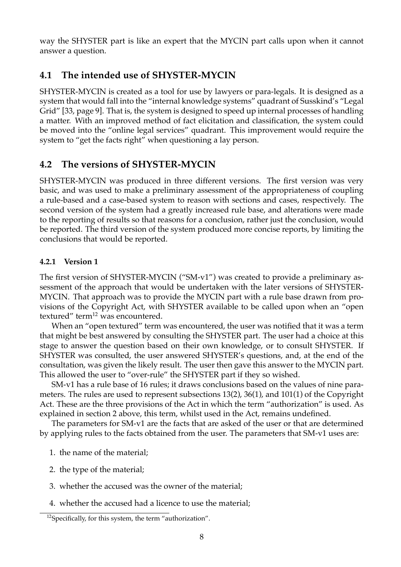way the SHYSTER part is like an expert that the MYCIN part calls upon when it cannot answer a question.

### **4.1 The intended use of SHYSTER-MYCIN**

SHYSTER-MYCIN is created as a tool for use by lawyers or para-legals. It is designed as a system that would fall into the "internal knowledge systems" quadrant of Susskind's "Legal Grid" [\[33,](#page-17-0) page 9]. That is, the system is designed to speed up internal processes of handling a matter. With an improved method of fact elicitation and classification, the system could be moved into the "online legal services" quadrant. This improvement would require the system to "get the facts right" when questioning a lay person.

### **4.2 The versions of SHYSTER-MYCIN**

SHYSTER-MYCIN was produced in three different versions. The first version was very basic, and was used to make a preliminary assessment of the appropriateness of coupling a rule-based and a case-based system to reason with sections and cases, respectively. The second version of the system had a greatly increased rule base, and alterations were made to the reporting of results so that reasons for a conclusion, rather just the conclusion, would be reported. The third version of the system produced more concise reports, by limiting the conclusions that would be reported.

#### **4.2.1 Version 1**

The first version of SHYSTER-MYCIN ("SM-v1") was created to provide a preliminary assessment of the approach that would be undertaken with the later versions of SHYSTER-MYCIN. That approach was to provide the MYCIN part with a rule base drawn from provisions of the Copyright Act, with SHYSTER available to be called upon when an "open textured" term<sup>12</sup> was encountered.

When an "open textured" term was encountered, the user was notified that it was a term that might be best answered by consulting the SHYSTER part. The user had a choice at this stage to answer the question based on their own knowledge, or to consult SHYSTER. If SHYSTER was consulted, the user answered SHYSTER's questions, and, at the end of the consultation, was given the likely result. The user then gave this answer to the MYCIN part. This allowed the user to "over-rule" the SHYSTER part if they so wished.

SM-v1 has a rule base of 16 rules; it draws conclusions based on the values of nine parameters. The rules are used to represent subsections 13(2), 36(1), and 101(1) of the Copyright Act. These are the three provisions of the Act in which the term "authorization" is used. As explained in section [2](#page-3-1) above, this term, whilst used in the Act, remains undefined.

The parameters for SM-v1 are the facts that are asked of the user or that are determined by applying rules to the facts obtained from the user. The parameters that SM-v1 uses are:

- 1. the name of the material;
- 2. the type of the material;
- 3. whether the accused was the owner of the material;
- 4. whether the accused had a licence to use the material;

<span id="page-9-0"></span><sup>12</sup>Specifically, for this system, the term "authorization".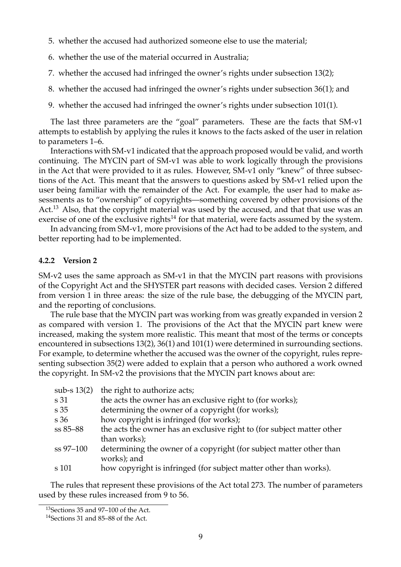- 5. whether the accused had authorized someone else to use the material;
- 6. whether the use of the material occurred in Australia;
- 7. whether the accused had infringed the owner's rights under subsection 13(2);
- 8. whether the accused had infringed the owner's rights under subsection 36(1); and
- 9. whether the accused had infringed the owner's rights under subsection 101(1).

The last three parameters are the "goal" parameters. These are the facts that SM-v1 attempts to establish by applying the rules it knows to the facts asked of the user in relation to parameters 1–6.

Interactions with SM-v1 indicated that the approach proposed would be valid, and worth continuing. The MYCIN part of SM-v1 was able to work logically through the provisions in the Act that were provided to it as rules. However, SM-v1 only "knew" of three subsections of the Act. This meant that the answers to questions asked by SM-v1 relied upon the user being familiar with the remainder of the Act. For example, the user had to make assessments as to "ownership" of copyrights—something covered by other provisions of the Act.<sup>13</sup> Also, that the copyright material was used by the accused, and that that use was an exercise of one of the exclusive rights $14$  for that material, were facts assumed by the system.

In advancing from SM-v1, more provisions of the Act had to be added to the system, and better reporting had to be implemented.

#### **4.2.2 Version 2**

SM-v2 uses the same approach as SM-v1 in that the MYCIN part reasons with provisions of the Copyright Act and the SHYSTER part reasons with decided cases. Version 2 differed from version 1 in three areas: the size of the rule base, the debugging of the MYCIN part, and the reporting of conclusions.

The rule base that the MYCIN part was working from was greatly expanded in version 2 as compared with version 1. The provisions of the Act that the MYCIN part knew were increased, making the system more realistic. This meant that most of the terms or concepts encountered in subsections 13(2), 36(1) and 101(1) were determined in surrounding sections. For example, to determine whether the accused was the owner of the copyright, rules representing subsection 35(2) were added to explain that a person who authored a work owned the copyright. In SM-v2 the provisions that the MYCIN part knows about are:

| the right to authorize acts;                                           |
|------------------------------------------------------------------------|
| the acts the owner has an exclusive right to (for works);              |
| determining the owner of a copyright (for works);                      |
| how copyright is infringed (for works);                                |
| the acts the owner has an exclusive right to (for subject matter other |
| than works);                                                           |
| determining the owner of a copyright (for subject matter other than    |
| works); and                                                            |
| how copyright is infringed (for subject matter other than works).      |
|                                                                        |

The rules that represent these provisions of the Act total 273. The number of parameters used by these rules increased from 9 to 56.

<span id="page-10-0"></span><sup>13</sup>Sections 35 and 97–100 of the Act.

<span id="page-10-1"></span><sup>14</sup>Sections 31 and 85–88 of the Act.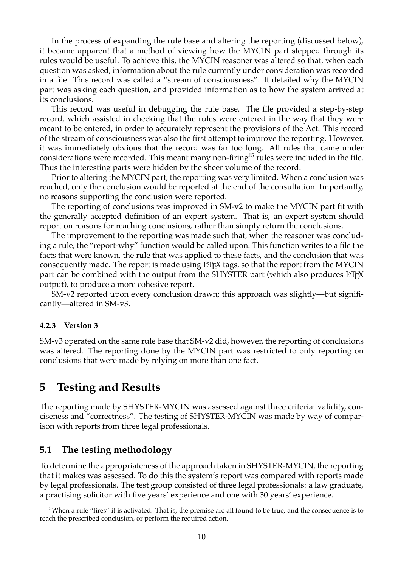In the process of expanding the rule base and altering the reporting (discussed below), it became apparent that a method of viewing how the MYCIN part stepped through its rules would be useful. To achieve this, the MYCIN reasoner was altered so that, when each question was asked, information about the rule currently under consideration was recorded in a file. This record was called a "stream of consciousness". It detailed why the MYCIN part was asking each question, and provided information as to how the system arrived at its conclusions.

This record was useful in debugging the rule base. The file provided a step-by-step record, which assisted in checking that the rules were entered in the way that they were meant to be entered, in order to accurately represent the provisions of the Act. This record of the stream of consciousness was also the first attempt to improve the reporting. However, it was immediately obvious that the record was far too long. All rules that came under considerations were recorded. This meant many non-firing<sup>15</sup> rules were included in the file. Thus the interesting parts were hidden by the sheer volume of the record.

Prior to altering the MYCIN part, the reporting was very limited. When a conclusion was reached, only the conclusion would be reported at the end of the consultation. Importantly, no reasons supporting the conclusion were reported.

The reporting of conclusions was improved in SM-v2 to make the MYCIN part fit with the generally accepted definition of an expert system. That is, an expert system should report on reasons for reaching conclusions, rather than simply return the conclusions.

The improvement to the reporting was made such that, when the reasoner was concluding a rule, the "report-why" function would be called upon. This function writes to a file the facts that were known, the rule that was applied to these facts, and the conclusion that was consequently made. The report is made using LATEX tags, so that the report from the MYCIN part can be combined with the output from the SHYSTER part (which also produces LATEX output), to produce a more cohesive report.

SM-v2 reported upon every conclusion drawn; this approach was slightly—but significantly—altered in SM-v3.

#### <span id="page-11-2"></span>**4.2.3 Version 3**

SM-v3 operated on the same rule base that SM-v2 did, however, the reporting of conclusions was altered. The reporting done by the MYCIN part was restricted to only reporting on conclusions that were made by relying on more than one fact.

### <span id="page-11-0"></span>**5 Testing and Results**

The reporting made by SHYSTER-MYCIN was assessed against three criteria: validity, conciseness and "correctness". The testing of SHYSTER-MYCIN was made by way of comparison with reports from three legal professionals.

### **5.1 The testing methodology**

To determine the appropriateness of the approach taken in SHYSTER-MYCIN, the reporting that it makes was assessed. To do this the system's report was compared with reports made by legal professionals. The test group consisted of three legal professionals: a law graduate, a practising solicitor with five years' experience and one with 30 years' experience.

<span id="page-11-1"></span><sup>&</sup>lt;sup>15</sup>When a rule "fires" it is activated. That is, the premise are all found to be true, and the consequence is to reach the prescribed conclusion, or perform the required action.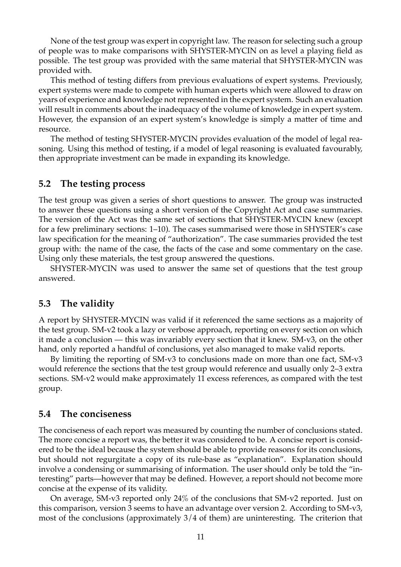None of the test group was expert in copyright law. The reason for selecting such a group of people was to make comparisons with SHYSTER-MYCIN on as level a playing field as possible. The test group was provided with the same material that SHYSTER-MYCIN was provided with.

This method of testing differs from previous evaluations of expert systems. Previously, expert systems were made to compete with human experts which were allowed to draw on years of experience and knowledge not represented in the expert system. Such an evaluation will result in comments about the inadequacy of the volume of knowledge in expert system. However, the expansion of an expert system's knowledge is simply a matter of time and resource.

The method of testing SHYSTER-MYCIN provides evaluation of the model of legal reasoning. Using this method of testing, if a model of legal reasoning is evaluated favourably, then appropriate investment can be made in expanding its knowledge.

#### **5.2 The testing process**

The test group was given a series of short questions to answer. The group was instructed to answer these questions using a short version of the Copyright Act and case summaries. The version of the Act was the same set of sections that SHYSTER-MYCIN knew (except for a few preliminary sections: 1–10). The cases summarised were those in SHYSTER's case law specification for the meaning of "authorization". The case summaries provided the test group with: the name of the case, the facts of the case and some commentary on the case. Using only these materials, the test group answered the questions.

SHYSTER-MYCIN was used to answer the same set of questions that the test group answered.

### **5.3 The validity**

A report by SHYSTER-MYCIN was valid if it referenced the same sections as a majority of the test group. SM-v2 took a lazy or verbose approach, reporting on every section on which it made a conclusion — this was invariably every section that it knew. SM-v3, on the other hand, only reported a handful of conclusions, yet also managed to make valid reports.

By limiting the reporting of SM-v3 to conclusions made on more than one fact, SM-v3 would reference the sections that the test group would reference and usually only 2–3 extra sections. SM-v2 would make approximately 11 excess references, as compared with the test group.

### **5.4 The conciseness**

The conciseness of each report was measured by counting the number of conclusions stated. The more concise a report was, the better it was considered to be. A concise report is considered to be the ideal because the system should be able to provide reasons for its conclusions, but should not regurgitate a copy of its rule-base as "explanation". Explanation should involve a condensing or summarising of information. The user should only be told the "interesting" parts—however that may be defined. However, a report should not become more concise at the expense of its validity.

On average, SM-v3 reported only 24% of the conclusions that SM-v2 reported. Just on this comparison, version 3 seems to have an advantage over version 2. According to SM-v3, most of the conclusions (approximately 3/4 of them) are uninteresting. The criterion that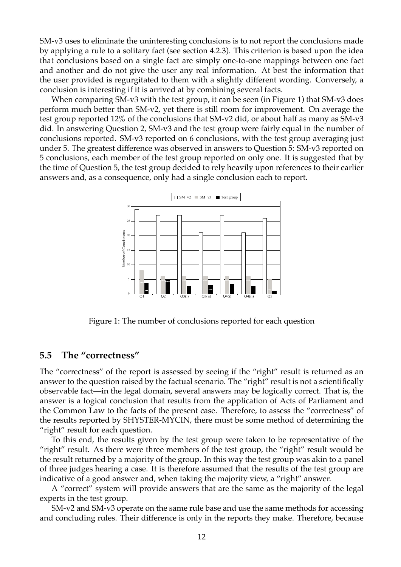SM-v3 uses to eliminate the uninteresting conclusions is to not report the conclusions made by applying a rule to a solitary fact (see section [4.2.3\)](#page-11-2). This criterion is based upon the idea that conclusions based on a single fact are simply one-to-one mappings between one fact and another and do not give the user any real information. At best the information that the user provided is regurgitated to them with a slightly different wording. Conversely, a conclusion is interesting if it is arrived at by combining several facts.

When comparing SM-v3 with the test group, it can be seen (in Figure [1\)](#page-13-0) that SM-v3 does perform much better than SM-v2, yet there is still room for improvement. On average the test group reported 12% of the conclusions that SM-v2 did, or about half as many as SM-v3 did. In answering Question 2, SM-v3 and the test group were fairly equal in the number of conclusions reported. SM-v3 reported on 6 conclusions, with the test group averaging just under 5. The greatest difference was observed in answers to Question 5: SM-v3 reported on 5 conclusions, each member of the test group reported on only one. It is suggested that by the time of Question 5, the test group decided to rely heavily upon references to their earlier answers and, as a consequence, only had a single conclusion each to report.



<span id="page-13-0"></span>Figure 1: The number of conclusions reported for each question

#### **5.5 The "correctness"**

The "correctness" of the report is assessed by seeing if the "right" result is returned as an answer to the question raised by the factual scenario. The "right" result is not a scientifically observable fact—in the legal domain, several answers may be logically correct. That is, the answer is a logical conclusion that results from the application of Acts of Parliament and the Common Law to the facts of the present case. Therefore, to assess the "correctness" of the results reported by SHYSTER-MYCIN, there must be some method of determining the "right" result for each question.

To this end, the results given by the test group were taken to be representative of the "right" result. As there were three members of the test group, the "right" result would be the result returned by a majority of the group. In this way the test group was akin to a panel of three judges hearing a case. It is therefore assumed that the results of the test group are indicative of a good answer and, when taking the majority view, a "right" answer.

A "correct" system will provide answers that are the same as the majority of the legal experts in the test group.

SM-v2 and SM-v3 operate on the same rule base and use the same methods for accessing and concluding rules. Their difference is only in the reports they make. Therefore, because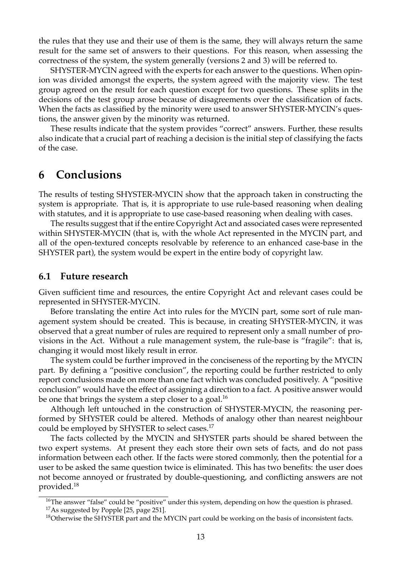the rules that they use and their use of them is the same, they will always return the same result for the same set of answers to their questions. For this reason, when assessing the correctness of the system, the system generally (versions 2 and 3) will be referred to.

SHYSTER-MYCIN agreed with the experts for each answer to the questions. When opinion was divided amongst the experts, the system agreed with the majority view. The test group agreed on the result for each question except for two questions. These splits in the decisions of the test group arose because of disagreements over the classification of facts. When the facts as classified by the minority were used to answer SHYSTER-MYCIN's questions, the answer given by the minority was returned.

These results indicate that the system provides "correct" answers. Further, these results also indicate that a crucial part of reaching a decision is the initial step of classifying the facts of the case.

### **6 Conclusions**

The results of testing SHYSTER-MYCIN show that the approach taken in constructing the system is appropriate. That is, it is appropriate to use rule-based reasoning when dealing with statutes, and it is appropriate to use case-based reasoning when dealing with cases.

The results suggest that if the entire Copyright Act and associated cases were represented within SHYSTER-MYCIN (that is, with the whole Act represented in the MYCIN part, and all of the open-textured concepts resolvable by reference to an enhanced case-base in the SHYSTER part), the system would be expert in the entire body of copyright law.

#### **6.1 Future research**

Given sufficient time and resources, the entire Copyright Act and relevant cases could be represented in SHYSTER-MYCIN.

Before translating the entire Act into rules for the MYCIN part, some sort of rule management system should be created. This is because, in creating SHYSTER-MYCIN, it was observed that a great number of rules are required to represent only a small number of provisions in the Act. Without a rule management system, the rule-base is "fragile": that is, changing it would most likely result in error.

The system could be further improved in the conciseness of the reporting by the MYCIN part. By defining a "positive conclusion", the reporting could be further restricted to only report conclusions made on more than one fact which was concluded positively. A "positive conclusion" would have the effect of assigning a direction to a fact. A positive answer would be one that brings the system a step closer to a goal.<sup>16</sup>

Although left untouched in the construction of SHYSTER-MYCIN, the reasoning performed by SHYSTER could be altered. Methods of analogy other than nearest neighbour could be employed by SHYSTER to select cases.<sup>17</sup>

The facts collected by the MYCIN and SHYSTER parts should be shared between the two expert systems. At present they each store their own sets of facts, and do not pass information between each other. If the facts were stored commonly, then the potential for a user to be asked the same question twice is eliminated. This has two benefits: the user does not become annoyed or frustrated by double-questioning, and conflicting answers are not provided[.18](#page-14-2) 

<span id="page-14-1"></span><span id="page-14-0"></span> $^{16}$ The answer "false" could be "positive" under this system, depending on how the question is phrased.  $17$ As suggested by Popple [\[25,](#page-16-3) page 251].

<span id="page-14-2"></span> $^{18}$ Otherwise the SHYSTER part and the MYCIN part could be working on the basis of inconsistent facts.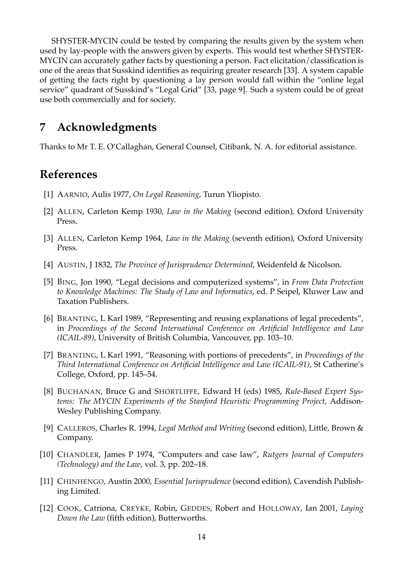SHYSTER-MYCIN could be tested by comparing the results given by the system when used by lay-people with the answers given by experts. This would test whether SHYSTER-MYCIN can accurately gather facts by questioning a person. Fact elicitation/classification is one of the areas that Susskind identifies as requiring greater research [\[33\]](#page-17-0). A system capable of getting the facts right by questioning a lay person would fall within the "online legal service" quadrant of Susskind's "Legal Grid" [\[33,](#page-17-0) page 9]. Such a system could be of great use both commercially and for society.

#### **7 Acknowledgments**

Thanks to Mr T. E. O'Callaghan, General Counsel, Citibank, N. A. for editorial assistance.

## **References**

- <span id="page-15-4"></span>[1] AARNIO, Aulis 1977, *On Legal Reasoning*, Turun Yliopisto.
- <span id="page-15-5"></span>[2] ALLEN, Carleton Kemp 1930, *Law in the Making* (second edition), Oxford University Press.
- <span id="page-15-6"></span>[3] ALLEN, Carleton Kemp 1964, *Law in the Making* (seventh edition), Oxford University Press.
- <span id="page-15-3"></span>[4] AUSTIN, J 1832, *The Province of Jurisprudence Determined*, Weidenfeld & Nicolson.
- <span id="page-15-1"></span>[5] BING, Jon 1990, "Legal decisions and computerized systems", in *From Data Protection to Knowledge Machines: The Study of Law and Informatics*, ed. P Seipel, Kluwer Law and Taxation Publishers.
- <span id="page-15-9"></span>[6] BRANTING, L Karl 1989, "Representing and reusing explanations of legal precedents", in *Proceedings of the Second International Conference on Artificial Intelligence and Law (ICAIL-89)*, University of British Columbia, Vancouver, pp. 103–10.
- <span id="page-15-10"></span>[7] BRANTING, L Karl 1991, "Reasoning with portions of precedents", in *Proceedings of the Third International Conference on Artificial Intelligence and Law (ICAIL-91)*, St Catherine's College, Oxford, pp. 145–54.
- <span id="page-15-11"></span>[8] BUCHANAN, Bruce G and SHORTLIFFE, Edward H (eds) 1985, *Rule-Based Expert Systems: The MYCIN Experiments of the Stanford Heuristic Programming Project*, Addison-Wesley Publishing Company.
- <span id="page-15-7"></span>[9] CALLEROS, Charles R. 1994, *Legal Method and Writing* (second edition), Little, Brown & Company.
- <span id="page-15-0"></span>[10] CHANDLER, James P 1974, "Computers and case law", *Rutgers Journal of Computers (Technology) and the Law*, vol. 3, pp. 202–18.
- <span id="page-15-2"></span>[11] CHINHENGO, Austin 2000, *Essential Jurisprudence* (second edition), Cavendish Publishing Limited.
- <span id="page-15-8"></span>[12] COOK, Catriona, CREYKE, Robin, GEDDES, Robert and HOLLOWAY, Ian 2001, *Laying Down the Law* (fifth edition), Butterworths.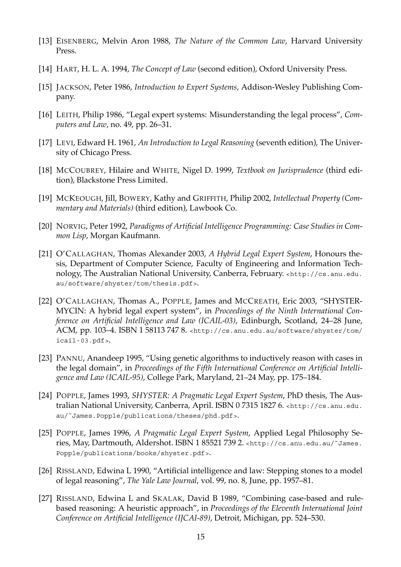- <span id="page-16-5"></span>[13] EISENBERG, Melvin Aron 1988, *The Nature of the Common Law*, Harvard University Press.
- <span id="page-16-4"></span>[14] HART, H. L. A. 1994, *The Concept of Law* (second edition), Oxford University Press.
- <span id="page-16-11"></span>[15] JACKSON, Peter 1986, *Introduction to Expert Systems*, Addison-Wesley Publishing Company.
- <span id="page-16-8"></span>[16] LEITH, Philip 1986, "Legal expert systems: Misunderstanding the legal process", *Computers and Law*, no. 49, pp. 26–31.
- <span id="page-16-6"></span>[17] LEVI, Edward H. 1961, *An Introduction to Legal Reasoning* (seventh edition), The University of Chicago Press.
- <span id="page-16-7"></span>[18] MCCOUBREY, Hilaire and WHITE, Nigel D. 1999, *Textbook on Jurisprudence* (third edition), Blackstone Press Limited.
- <span id="page-16-2"></span>[19] MCKEOUGH, Jill, BOWERY, Kathy and GRIFFITH, Philip 2002, *Intellectual Property (Commentary and Materials)* (third edition), Lawbook Co.
- <span id="page-16-12"></span>[20] NORVIG, Peter 1992, *Paradigms of Artificial Intelligence Programming: Case Studies in Common Lisp*, Morgan Kaufmann.
- <span id="page-16-0"></span>[21] O'CALLAGHAN, Thomas Alexander 2003, *A Hybrid Legal Expert System*, Honours thesis, Department of Computer Science, Faculty of Engineering and Information Technology, The Australian National University, Canberra, February. [<http://cs.anu.edu.](http://cs.anu.edu.au/software/shyster/tom/thesis.pdf)  [au/software/shyster/tom/thesis.pdf>](http://cs.anu.edu.au/software/shyster/tom/thesis.pdf).
- <span id="page-16-1"></span>[22] O'CALLAGHAN, Thomas A., POPPLE, James and MCCREATH, Eric 2003, "SHYSTER-MYCIN: A hybrid legal expert system", in *Proceedings of the Ninth International Conference on Artificial Intelligence and Law (ICAIL-03)*, Edinburgh, Scotland, 24–28 June, ACM, pp. 103–4. ISBN 1 58113 747 8. [<http://cs.anu.edu.au/software/shyster/tom/](http://cs.anu.edu.au/software/shyster/tom/icail-03.pdf)  [icail-03.pdf>](http://cs.anu.edu.au/software/shyster/tom/icail-03.pdf).
- <span id="page-16-14"></span>[23] PANNU, Anandeep 1995, "Using genetic algorithms to inductively reason with cases in the legal domain", in *Proceedings of the Fifth International Conference on Artificial Intelligence and Law (ICAIL-95)*, College Park, Maryland, 21–24 May, pp. 175–184.
- <span id="page-16-13"></span>[24] POPPLE, James 1993, *SHYSTER: A Pragmatic Legal Expert System*, PhD thesis, The Australian National University, Canberra, April. ISBN 0 7315 1827 6. [<http://cs.anu.edu.](http://cs.anu.edu.au/~James.Popple/publications/theses/phd.pdf)  [au/˜James.Popple/publications/theses/phd.pdf>](http://cs.anu.edu.au/~James.Popple/publications/theses/phd.pdf).
- <span id="page-16-3"></span>[25] POPPLE, James 1996, *A Pragmatic Legal Expert System*, Applied Legal Philosophy Series, May, Dartmouth, Aldershot. ISBN 1 85521 739 2. [<http://cs.anu.edu.au/˜James.](http://cs.anu.edu.au/~James.Popple/publications/books/shyster.pdf)  [Popple/publications/books/shyster.pdf>](http://cs.anu.edu.au/~James.Popple/publications/books/shyster.pdf).
- <span id="page-16-9"></span>[26] RISSLAND, Edwina L 1990, "Artificial intelligence and law: Stepping stones to a model of legal reasoning", *The Yale Law Journal*, vol. 99, no. 8, June, pp. 1957–81.
- <span id="page-16-10"></span>[27] RISSLAND, Edwina L and SKALAK, David B 1989, "Combining case-based and rulebased reasoning: A heuristic approach", in *Proceedings of the Eleventh International Joint Conference on Artificial Intelligence (IJCAI-89)*, Detroit, Michigan, pp. 524–530.